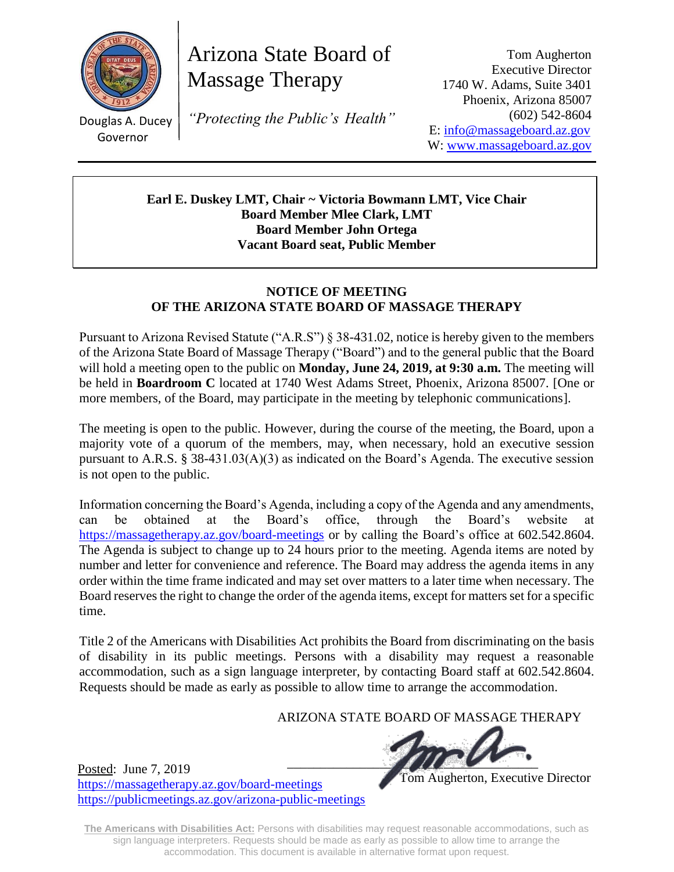

Douglas A. Ducey Governor

Posted: June 7, 2019

<https://massagetherapy.az.gov/board-meetings>

<https://publicmeetings.az.gov/arizona-public-meetings>

Arizona State Board of Massage Therapy

*"Protecting the Public's Health"*

Tom Augherton Executive Director 1740 W. Adams, Suite 3401 Phoenix, Arizona 85007 (602) 542-8604 E: [info@massageboard.az.gov](mailto:info@massageboard.az.gov) W: [www.massageboard.az.gov](http://www.massageboard.az.gov/)

**Earl E. Duskey LMT, Chair ~ Victoria Bowmann LMT, Vice Chair Board Member Mlee Clark, LMT Board Member John Ortega Vacant Board seat, Public Member**

## **NOTICE OF MEETING OF THE ARIZONA STATE BOARD OF MASSAGE THERAPY**

Pursuant to Arizona Revised Statute ("A.R.S") § 38-431.02, notice is hereby given to the members of the Arizona State Board of Massage Therapy ("Board") and to the general public that the Board will hold a meeting open to the public on **Monday, June 24, 2019, at 9:30 a.m.** The meeting will be held in **Boardroom C** located at 1740 West Adams Street, Phoenix, Arizona 85007. [One or more members, of the Board, may participate in the meeting by telephonic communications].

The meeting is open to the public. However, during the course of the meeting, the Board, upon a majority vote of a quorum of the members, may, when necessary, hold an executive session pursuant to A.R.S. § 38-431.03(A)(3) as indicated on the Board's Agenda. The executive session is not open to the public.

Information concerning the Board's Agenda, including a copy of the Agenda and any amendments, can be obtained at the Board's office, through the Board's website at <https://massagetherapy.az.gov/>board-meetings or by calling the Board's office at 602.542.8604. The Agenda is subject to change up to 24 hours prior to the meeting. Agenda items are noted by number and letter for convenience and reference. The Board may address the agenda items in any order within the time frame indicated and may set over matters to a later time when necessary. The Board reserves the right to change the order of the agenda items, except for matters set for a specific time.

Title 2 of the Americans with Disabilities Act prohibits the Board from discriminating on the basis of disability in its public meetings. Persons with a disability may request a reasonable accommodation, such as a sign language interpreter, by contacting Board staff at 602.542.8604. Requests should be made as early as possible to allow time to arrange the accommodation.

ARIZONA STATE BOARD OF MASSAGE THERAPY

 $\blacksquare$ 

Tom Augherton, Executive Director

**The Americans with Disabilities Act:** Persons with disabilities may request reasonable accommodations, such as sign language interpreters. Requests should be made as early as possible to allow time to arrange the accommodation. This document is available in alternative format upon request.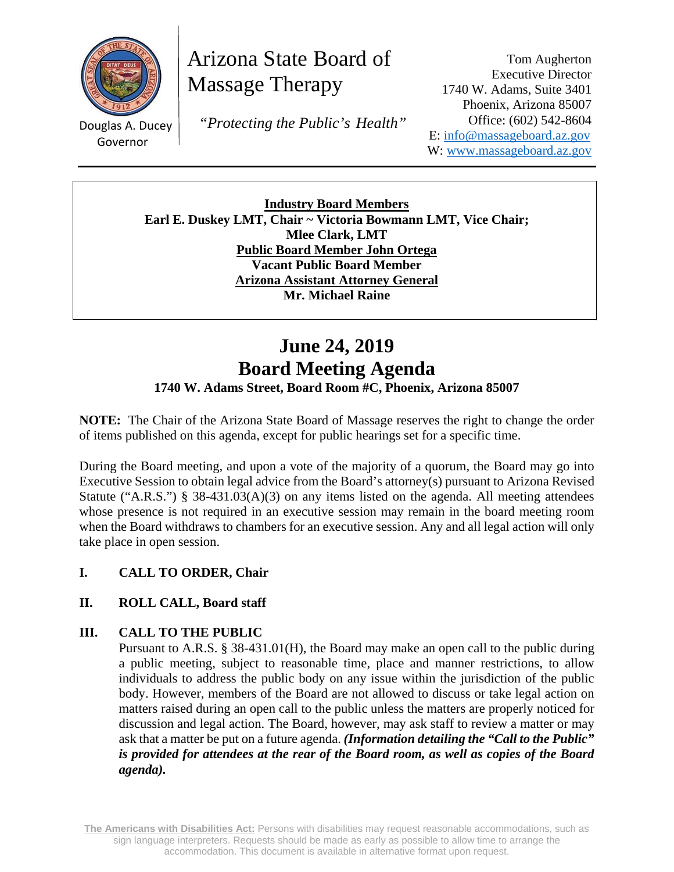

Governor

Arizona State Board of Massage Therapy

and the control Douglas A. Ducey  *"Protecting the Public's Health"*

Tom Augherton Executive Director 1740 W. Adams, Suite 3401 Phoenix, Arizona 85007 Office: (602) 542-8604 E: info@massageboard.az.gov W: www.massageboard.az.gov

**Industry Board Members Earl E. Duskey LMT, Chair ~ Victoria Bowmann LMT, Vice Chair; Mlee Clark, LMT Public Board Member John Ortega Vacant Public Board Member Arizona Assistant Attorney General Mr. Michael Raine** 

# **June 24, 2019 Board Meeting Agenda**

# **1740 W. Adams Street, Board Room #C, Phoenix, Arizona 85007**

**NOTE:** The Chair of the Arizona State Board of Massage reserves the right to change the order of items published on this agenda, except for public hearings set for a specific time.

During the Board meeting, and upon a vote of the majority of a quorum, the Board may go into Executive Session to obtain legal advice from the Board's attorney(s) pursuant to Arizona Revised Statute ("A.R.S.") § 38-431.03(A)(3) on any items listed on the agenda. All meeting attendees whose presence is not required in an executive session may remain in the board meeting room when the Board withdraws to chambers for an executive session. Any and all legal action will only take place in open session.

# **I. CALL TO ORDER, Chair**

# **II. ROLL CALL, Board staff**

## **III. CALL TO THE PUBLIC**

Pursuant to A.R.S. § 38-431.01(H), the Board may make an open call to the public during a public meeting, subject to reasonable time, place and manner restrictions, to allow individuals to address the public body on any issue within the jurisdiction of the public body. However, members of the Board are not allowed to discuss or take legal action on matters raised during an open call to the public unless the matters are properly noticed for discussion and legal action. The Board, however, may ask staff to review a matter or may ask that a matter be put on a future agenda. *(Information detailing the "Call to the Public" is provided for attendees at the rear of the Board room, as well as copies of the Board agenda).* 

**The Americans with Disabilities Act:** Persons with disabilities may request reasonable accommodations, such as sign language interpreters. Requests should be made as early as possible to allow time to arrange the accommodation. This document is available in alternative format upon request.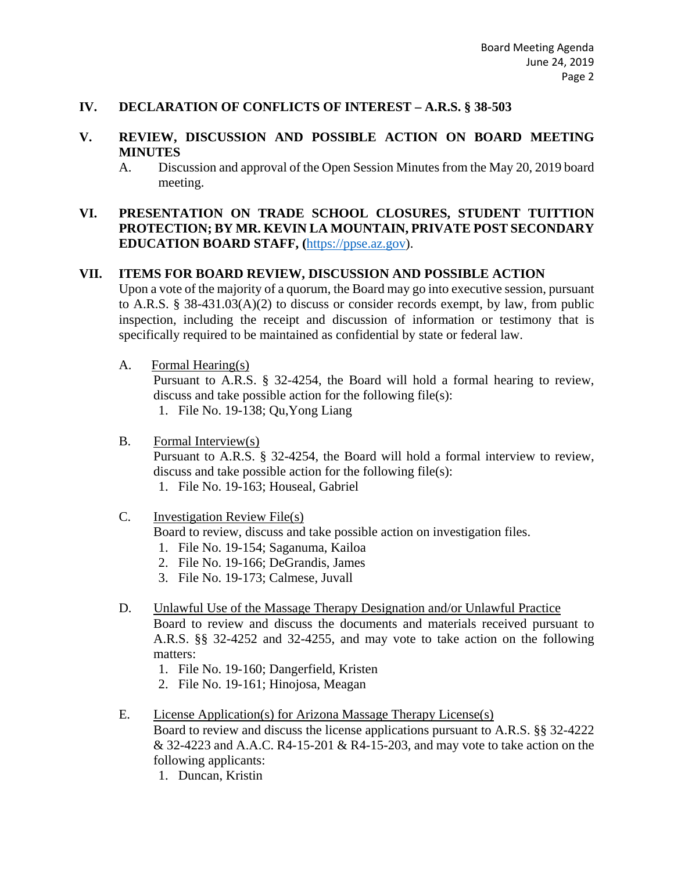#### **IV. DECLARATION OF CONFLICTS OF INTEREST – A.R.S. § 38-503**

### **V. REVIEW, DISCUSSION AND POSSIBLE ACTION ON BOARD MEETING MINUTES**

A. Discussion and approval of the Open Session Minutes from the May 20, 2019 board meeting.

## **VI. PRESENTATION ON TRADE SCHOOL CLOSURES, STUDENT TUITTION PROTECTION; BY MR. KEVIN LA MOUNTAIN, PRIVATE POST SECONDARY EDUCATION BOARD STAFF, (**https://ppse.az.gov).

#### **VII. ITEMS FOR BOARD REVIEW, DISCUSSION AND POSSIBLE ACTION**

Upon a vote of the majority of a quorum, the Board may go into executive session, pursuant to A.R.S. § 38-431.03(A)(2) to discuss or consider records exempt, by law, from public inspection, including the receipt and discussion of information or testimony that is specifically required to be maintained as confidential by state or federal law.

A. Formal Hearing(s)

Pursuant to A.R.S. § 32-4254, the Board will hold a formal hearing to review, discuss and take possible action for the following file(s): 1. File No. 19-138; Qu,Yong Liang

B. Formal Interview(s)

Pursuant to A.R.S. § 32-4254, the Board will hold a formal interview to review, discuss and take possible action for the following file(s):

1. File No. 19-163; Houseal, Gabriel

C. Investigation Review File(s)

Board to review, discuss and take possible action on investigation files.

- 1. File No. 19-154; Saganuma, Kailoa
- 2. File No. 19-166; DeGrandis, James
- 3. File No. 19-173; Calmese, Juvall
- D. Unlawful Use of the Massage Therapy Designation and/or Unlawful Practice Board to review and discuss the documents and materials received pursuant to A.R.S. §§ 32-4252 and 32-4255, and may vote to take action on the following matters:
	- 1. File No. 19-160; Dangerfield, Kristen
	- 2. File No. 19-161; Hinojosa, Meagan
- E. License Application(s) for Arizona Massage Therapy License(s) Board to review and discuss the license applications pursuant to A.R.S. §§ 32-4222

& 32-4223 and A.A.C. R4-15-201 & R4-15-203, and may vote to take action on the following applicants:

1. Duncan, Kristin